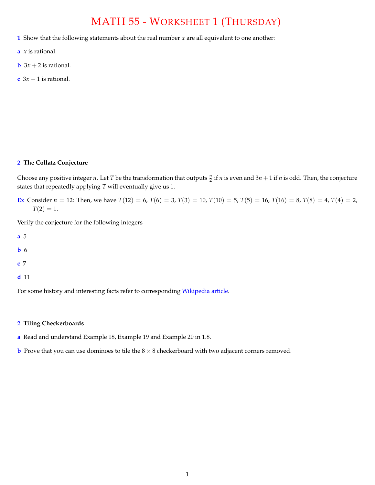## MATH 55 - WORKSHEET 1 (THURSDAY)

- **1** Show that the following statements about the real number *x* are all equivalent to one another:
- **a** *x* is rational.
- **b**  $3x + 2$  is rational.
- **c**  $3x 1$  is rational.

## **2 The Collatz Conjecture**

Choose any positive integer *n*. Let *T* be the transformation that outputs  $\frac{n}{2}$  if *n* is even and 3*n* + 1 if *n* is odd. Then, the conjecture states that repeatedly applying *T* will eventually give us 1.

**Ex** Consider  $n = 12$ : Then, we have  $T(12) = 6$ ,  $T(6) = 3$ ,  $T(3) = 10$ ,  $T(10) = 5$ ,  $T(5) = 16$ ,  $T(16) = 8$ ,  $T(8) = 4$ ,  $T(4) = 2$ ,  $T(2) = 1.$ 

Verify the conjecture for the following integers

- **a** 5
- **b** 6
- **c** 7
- **d** 11

For some history and interesting facts refer to corresponding [Wikipedia article.](https://en.wikipedia.org/wiki/Collatz_conjecture)

## **2 Tiling Checkerboards**

- **a** Read and understand Example 18, Example 19 and Example 20 in 1.8.
- **b** Prove that you can use dominoes to tile the  $8 \times 8$  checkerboard with two adjacent corners removed.